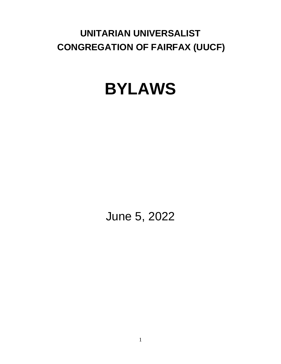# **UNITARIAN UNIVERSALIST CONGREGATION OF FAIRFAX (UUCF)**

# **BYLAWS**

June 5, 2022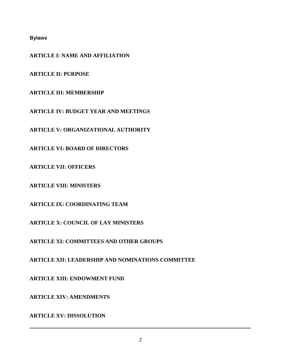**Bylaws**

**ARTICLE I: NAME AND AFFILIATION**

**ARTICLE II: PURPOSE**

**ARTICLE III: MEMBERSHIP**

**ARTICLE IV: BUDGET YEAR AND MEETINGS**

**ARTICLE V: ORGANIZATIONAL AUTHORITY**

**ARTICLE VI: BOARD OF DIRECTORS**

**ARTICLE VII: OFFICERS**

**ARTICLE VIII: MINISTERS**

**ARTICLE IX: COORDINATING TEAM**

**ARTICLE X: COUNCIL OF LAY MINISTERS**

**ARTICLE XI: COMMITTEES AND OTHER GROUPS**

**ARTICLE XII: LEADERSHIP AND NOMINATIONS COMMITTEE**

**ARTICLE XIII: ENDOWMENT FUND**

**ARTICLE XIV: AMENDMENTS**

**ARTICLE XV: DISSOLUTION**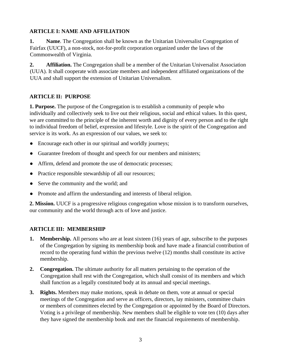# **ARTICLE I: NAME AND AFFILIATION**

**1. Name**. The Congregation shall be known as the Unitarian Universalist Congregation of Fairfax (UUCF), a non-stock, not-for-profit corporation organized under the laws of the Commonwealth of Virginia.

**2. Affiliation.** The Congregation shall be a member of the Unitarian Universalist Association (UUA). It shall cooperate with associate members and independent affiliated organizations of the UUA and shall support the extension of Unitarian Universalism.

#### **ARTICLE II: PURPOSE**

**1. Purpose.** The purpose of the Congregation is to establish a community of people who individually and collectively seek to live out their religious, social and ethical values. In this quest, we are committed to the principle of the inherent worth and dignity of every person and to the right to individual freedom of belief, expression and lifestyle. Love is the spirit of the Congregation and service is its work. As an expression of our values, we seek to:

- Encourage each other in our spiritual and worldly journeys;
- Guarantee freedom of thought and speech for our members and ministers;
- Affirm, defend and promote the use of democratic processes;
- Practice responsible stewardship of all our resources;
- Serve the community and the world; and
- Promote and affirm the understanding and interests of liberal religion.

**2. Mission.** UUCF is a progressive religious congregation whose mission is to transform ourselves, our community and the world through acts of love and justice.

# **ARTICLE III: MEMBERSHIP**

- **1. Membership.** All persons who are at least sixteen (16) years of age, subscribe to the purposes of the Congregation by signing its membership book and have made a financial contribution of record to the operating fund within the previous twelve (12) months shall constitute its active membership.
- **2. Congregation.** The ultimate authority for all matters pertaining to the operation of the Congregation shall rest with the Congregation, which shall consist of its members and which shall function as a legally constituted body at its annual and special meetings.
- **3. Rights.** Members may make motions, speak in debate on them, vote at annual or special meetings of the Congregation and serve as officers, directors, lay ministers, committee chairs or members of committees elected by the Congregation or appointed by the Board of Directors. Voting is a privilege of membership. New members shall be eligible to vote ten (10) days after they have signed the membership book and met the financial requirements of membership.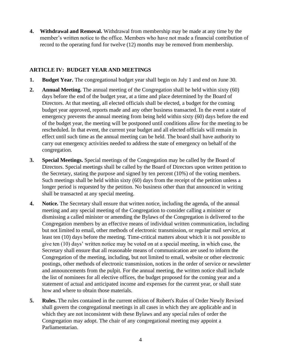**4. Withdrawal and Removal.** Withdrawal from membership may be made at any time by the member's written notice to the office. Members who have not made a financial contribution of record to the operating fund for twelve (12) months may be removed from membership.

## **ARTICLE IV: BUDGET YEAR AND MEETINGS**

- **1. Budget Year.** The congregational budget year shall begin on July 1 and end on June 30.
- **2. Annual Meeting.** The annual meeting of the Congregation shall be held within sixty (60) days before the end of the budget year, at a time and place determined by the Board of Directors. At that meeting, all elected officials shall be elected, a budget for the coming budget year approved, reports made and any other business transacted. In the event a state of emergency prevents the annual meeting from being held within sixty (60) days before the end of the budget year, the meeting will be postponed until conditions allow for the meeting to be rescheduled. In that event, the current year budget and all elected officials will remain in effect until such time as the annual meeting can be held. The board shall have authority to carry out emergency activities needed to address the state of emergency on behalf of the congregation.
- **3. Special Meetings.** Special meetings of the Congregation may be called by the Board of Directors. Special meetings shall be called by the Board of Directors upon written petition to the Secretary, stating the purpose and signed by ten percent (10%) of the voting members. Such meetings shall be held within sixty (60) days from the receipt of the petition unless a longer period is requested by the petition. No business other than that announced in writing shall be transacted at any special meeting.
- **4. Notice.** The Secretary shall ensure that written notice, including the agenda, of the annual meeting and any special meeting of the Congregation to consider calling a minister or dismissing a called minister or amending the Bylaws of the Congregation is delivered to the Congregation members by an effective means of individual written communication, including but not limited to email, other methods of electronic transmission, or regular mail service, at least ten (10) days before the meeting. Time-critical matters about which it is not possible to give ten (10) days' written notice may be voted on at a special meeting, in which case, the Secretary shall ensure that all reasonable means of communication are used to inform the Congregation of the meeting, including, but not limited to email, website or other electronic postings, other methods of electronic transmission, notices in the order of service or newsletter and announcements from the pulpit. For the annual meeting, the written notice shall include the list of nominees for all elective offices, the budget proposed for the coming year and a statement of actual and anticipated income and expenses for the current year, or shall state how and where to obtain those materials.
- **5. Rules.** The rules contained in the current edition of Robert's Rules of Order Newly Revised shall govern the congregational meetings in all cases in which they are applicable and in which they are not inconsistent with these Bylaws and any special rules of order the Congregation may adopt. The chair of any congregational meeting may appoint a Parliamentarian.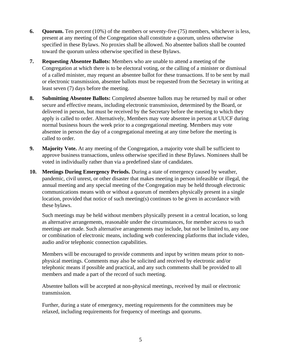- **6. Quorum.** Ten percent (10%) of the members or seventy-five (75) members, whichever is less, present at any meeting of the Congregation shall constitute a quorum, unless otherwise specified in these Bylaws. No proxies shall be allowed. No absentee ballots shall be counted toward the quorum unless otherwise specified in these Bylaws.
- **7. Requesting Absentee Ballots:** Members who are unable to attend a meeting of the Congregation at which there is to be electoral voting, or the calling of a minister or dismissal of a called minister, may request an absentee ballot for these transactions. If to be sent by mail or electronic transmission, absentee ballots must be requested from the Secretary in writing at least seven (7) days before the meeting.
- **8. Submitting Absentee Ballots:** Completed absentee ballots may be returned by mail or other secure and effective means, including electronic transmission, determined by the Board, or delivered in person, but must be received by the Secretary before the meeting to which they apply is called to order. Alternatively, Members may vote absentee in person at UUCF during normal business hours the week prior to a congregational meeting. Members may vote absentee in person the day of a congregational meeting at any time before the meeting is called to order.
- **9. Majority Vote.** At any meeting of the Congregation, a majority vote shall be sufficient to approve business transactions, unless otherwise specified in these Bylaws. Nominees shall be voted in individually rather than via a predefined slate of candidates.
- **10. Meetings During Emergency Periods.** During a state of emergency caused by weather, pandemic, civil unrest, or other disaster that makes meeting in person infeasible or illegal, the annual meeting and any special meeting of the Congregation may be held through electronic communications means with or without a quorum of members physically present in a single location, provided that notice of such meeting(s) continues to be given in accordance with these bylaws.

 Such meetings may be held without members physically present in a central location, so long as alternative arrangements, reasonable under the circumstances, for member access to such meetings are made. Such alternative arrangements may include, but not be limited to, any one or combination of electronic means, including web conferencing platforms that include video, audio and/or telephonic connection capabilities.

 Members will be encouraged to provide comments and input by written means prior to nonphysical meetings. Comments may also be solicited and received by electronic and/or telephonic means if possible and practical, and any such comments shall be provided to all members and made a part of the record of such meeting.

 Absentee ballots will be accepted at non-physical meetings, received by mail or electronic transmission.

 Further, during a state of emergency, meeting requirements for the committees may be relaxed, including requirements for frequency of meetings and quorums.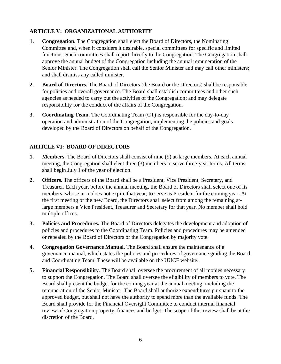# **ARTICLE V: ORGANIZATIONAL AUTHORITY**

- **1. Congregation.** The Congregation shall elect the Board of Directors, the Nominating Committee and, when it considers it desirable, special committees for specific and limited functions. Such committees shall report directly to the Congregation. The Congregation shall approve the annual budget of the Congregation including the annual remuneration of the Senior Minister. The Congregation shall call the Senior Minister and may call other ministers; and shall dismiss any called minister.
- **2. Board of Directors.** The Board of Directors (the Board or the Directors) shall be responsible for policies and overall governance. The Board shall establish committees and other such agencies as needed to carry out the activities of the Congregation; and may delegate responsibility for the conduct of the affairs of the Congregation.
- **3. Coordinating Team.** The Coordinating Team (CT) is responsible for the day-to-day operation and administration of the Congregation, implementing the policies and goals developed by the Board of Directors on behalf of the Congregation.

# **ARTICLE VI: BOARD OF DIRECTORS**

- **1. Members**. The Board of Directors shall consist of nine (9) at-large members. At each annual meeting, the Congregation shall elect three (3) members to serve three-year terms. All terms shall begin July 1 of the year of election.
- **2. Officers.** The officers of the Board shall be a President, Vice President, Secretary, and Treasurer. Each year, before the annual meeting, the Board of Directors shall select one of its members, whose term does not expire that year, to serve as President for the coming year. At the first meeting of the new Board, the Directors shall select from among the remaining atlarge members a Vice President, Treasurer and Secretary for that year. No member shall hold multiple offices.
- **3. Policies and Procedures.** The Board of Directors delegates the development and adoption of policies and procedures to the Coordinating Team. Policies and procedures may be amended or repealed by the Board of Directors or the Congregation by majority vote.
- **4. Congregation Governance Manual**. The Board shall ensure the maintenance of a governance manual, which states the policies and procedures of governance guiding the Board and Coordinating Team. These will be available on the UUCF website.
- **5. Financial Responsibility**. The Board shall oversee the procurement of all monies necessary to support the Congregation. The Board shall oversee the eligibility of members to vote. The Board shall present the budget for the coming year at the annual meeting, including the remuneration of the Senior Minister. The Board shall authorize expenditures pursuant to the approved budget, but shall not have the authority to spend more than the available funds. The Board shall provide for the Financial Oversight Committee to conduct internal financial review of Congregation property, finances and budget. The scope of this review shall be at the discretion of the Board.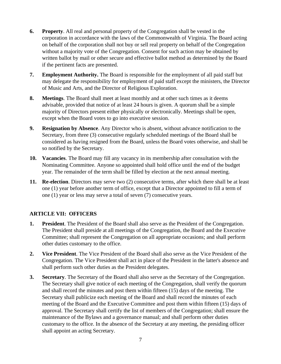- **6. Property**. All real and personal property of the Congregation shall be vested in the corporation in accordance with the laws of the Commonwealth of Virginia. The Board acting on behalf of the corporation shall not buy or sell real property on behalf of the Congregation without a majority vote of the Congregation. Consent for such action may be obtained by written ballot by mail or other secure and effective ballot method as determined by the Board if the pertinent facts are presented.
- **7. Employment Authority.** The Board is responsible for the employment of all paid staff but may delegate the responsibility for employment of paid staff except the ministers, the Director of Music and Arts, and the Director of Religious Exploration.
- **8. Meetings**. The Board shall meet at least monthly and at other such times as it deems advisable, provided that notice of at least 24 hours is given. A quorum shall be a simple majority of Directors present either physically or electronically. Meetings shall be open, except when the Board votes to go into executive session.
- **9. Resignation by Absence**. Any Director who is absent, without advance notification to the Secretary, from three (3) consecutive regularly scheduled meetings of the Board shall be considered as having resigned from the Board, unless the Board votes otherwise, and shall be so notified by the Secretary.
- **10. Vacancies**. The Board may fill any vacancy in its membership after consultation with the Nominating Committee. Anyone so appointed shall hold office until the end of the budget year. The remainder of the term shall be filled by election at the next annual meeting.
- **11. Re-election**. Directors may serve two (2) consecutive terms, after which there shall be at least one (1) year before another term of office, except that a Director appointed to fill a term of one (1) year or less may serve a total of seven (7) consecutive years.

# **ARTICLE VII: OFFICERS**

- **1. President**. The President of the Board shall also serve as the President of the Congregation. The President shall preside at all meetings of the Congregation, the Board and the Executive Committee; shall represent the Congregation on all appropriate occasions; and shall perform other duties customary to the office.
- **2. Vice President**. The Vice President of the Board shall also serve as the Vice President of the Congregation. The Vice President shall act in place of the President in the latter's absence and shall perform such other duties as the President delegates.
- **3. Secretary**. The Secretary of the Board shall also serve as the Secretary of the Congregation. The Secretary shall give notice of each meeting of the Congregation, shall verify the quorum and shall record the minutes and post them within fifteen (15) days of the meeting. The Secretary shall publicize each meeting of the Board and shall record the minutes of each meeting of the Board and the Executive Committee and post them within fifteen (15) days of approval. The Secretary shall certify the list of members of the Congregation; shall ensure the maintenance of the Bylaws and a governance manual; and shall perform other duties customary to the office. In the absence of the Secretary at any meeting, the presiding officer shall appoint an acting Secretary.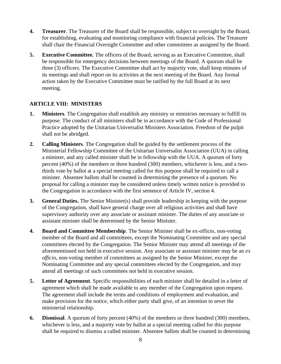- **4. Treasurer**. The Treasurer of the Board shall be responsible, subject to oversight by the Board, for establishing, evaluating and monitoring compliance with financial policies. The Treasurer shall chair the Financial Oversight Committee and other committees as assigned by the Board.
- **5. Executive Committee.** The officers of the Board, serving as an Executive Committee, shall be responsible for emergency decisions between meetings of the Board. A quorum shall be three (3) officers. The Executive Committee shall act by majority vote, shall keep minutes of its meetings and shall report on its activities at the next meeting of the Board. Any formal action taken by the Executive Committee must be ratified by the full Board at its next meeting.

#### **ARTICLE VIII: MINISTERS**

- **1. Ministers**. The Congregation shall establish any ministry or ministries necessary to fulfill its purpose. The conduct of all ministers shall be in accordance with the Code of Professional Practice adopted by the Unitarian Universalist Ministers Association. Freedom of the pulpit shall not be abridged.
- **2. Calling Ministers**. The Congregation shall be guided by the settlement process of the Ministerial Fellowship Committee of the Unitarian Universalist Association (UUA) in calling a minister, and any called minister shall be in fellowship with the UUA. A quorum of forty percent (40%) of the members or three hundred (300) members, whichever is less, and a twothirds vote by ballot at a special meeting called for this purpose shall be required to call a minister. Absentee ballots shall be counted in determining the presence of a quorum. No proposal for calling a minister may be considered unless timely written notice is provided to the Congregation in accordance with the first sentence of Article IV, section 4.
- **3. General Duties.** The Senior Minister(s) shall provide leadership in keeping with the purpose of the Congregation, shall have general charge over all religious activities and shall have supervisory authority over any associate or assistant minister. The duties of any associate or assistant minister shall be determined by the Senior Minister.
- **4. Board and Committee Membership**. The Senior Minister shall be ex-officio, non-voting member of the Board and all committees, except the Nominating Committee and any special committees elected by the Congregation. The Senior Minister may attend all meetings of the aforementioned not held in executive session. Any associate or assistant minister may be an *ex officio*, non-voting member of committees as assigned by the Senior Minister, except the Nominating Committee and any special committees elected by the Congregation, and may attend all meetings of such committees not held in executive session.
- **5. Letter of Agreement**. Specific responsibilities of each minister shall be detailed in a letter of agreement which shall be made available to any member of the Congregation upon request. The agreement shall include the terms and conditions of employment and evaluation, and make provision for the notice, which either party shall give, of an intention to sever the ministerial relationship.
- **6. Dismissal**. A quorum of forty percent (40%) of the members or three hundred (300) members, whichever is less, and a majority vote by ballot at a special meeting called for this purpose shall be required to dismiss a called minister. Absentee ballots shall be counted in determining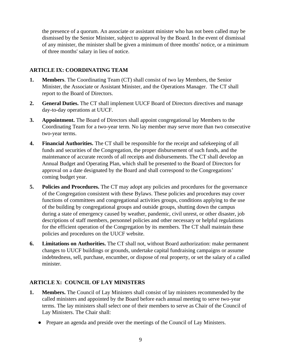the presence of a quorum. An associate or assistant minister who has not been called may be dismissed by the Senior Minister, subject to approval by the Board. In the event of dismissal of any minister, the minister shall be given a minimum of three months' notice, or a minimum of three months' salary in lieu of notice.

#### **ARTICLE IX: COORDINATING TEAM**

- **1. Members**. The Coordinating Team (CT) shall consist of two lay Members, the Senior Minister, the Associate or Assistant Minister, and the Operations Manager. The CT shall report to the Board of Directors.
- **2. General Duties.** The CT shall implement UUCF Board of Directors directives and manage day-to-day operations at UUCF.
- **3. Appointment.** The Board of Directors shall appoint congregational lay Members to the Coordinating Team for a two-year term. No lay member may serve more than two consecutive two-year terms.
- **4. Financial Authorities.** The CT shall be responsible for the receipt and safekeeping of all funds and securities of the Congregation, the proper disbursement of such funds, and the maintenance of accurate records of all receipts and disbursements. The CT shall develop an Annual Budget and Operating Plan, which shall be presented to the Board of Directors for approval on a date designated by the Board and shall correspond to the Congregations' coming budget year.
- **5. Policies and Procedures.** The CT may adopt any policies and procedures for the governance of the Congregation consistent with these Bylaws. These policies and procedures may cover functions of committees and congregational activities groups, conditions applying to the use of the building by congregational groups and outside groups, shutting down the campus during a state of emergency caused by weather, pandemic, civil unrest, or other disaster, job descriptions of staff members, personnel policies and other necessary or helpful regulations for the efficient operation of the Congregation by its members. The CT shall maintain these policies and procedures on the UUCF website.
- **6. Limitations on Authorities.** The CT shall not, without Board authorization: make permanent changes to UUCF buildings or grounds, undertake capital fundraising campaigns or assume indebtedness, sell, purchase, encumber, or dispose of real property, or set the salary of a called minister.

#### **ARTICLE X: COUNCIL OF LAY MINISTERS**

- **1. Members.** The Council of Lay Ministers shall consist of lay ministers recommended by the called ministers and appointed by the Board before each annual meeting to serve two-year terms. The lay ministers shall select one of their members to serve as Chair of the Council of Lay Ministers. The Chair shall:
	- Prepare an agenda and preside over the meetings of the Council of Lay Ministers.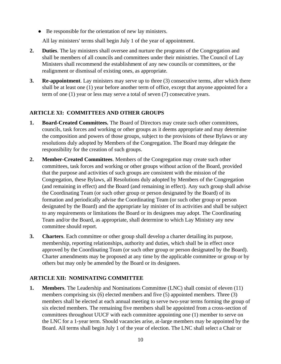● Be responsible for the orientation of new lay ministers.

All lay ministers' terms shall begin July 1 of the year of appointment.

- **2. Duties**. The lay ministers shall oversee and nurture the programs of the Congregation and shall be members of all councils and committees under their ministries. The Council of Lay Ministers shall recommend the establishment of any new councils or committees, or the realignment or dismissal of existing ones, as appropriate.
- **3. Re-appointment**. Lay ministers may serve up to three (3) consecutive terms, after which there shall be at least one (1) year before another term of office, except that anyone appointed for a term of one (1) year or less may serve a total of seven (7) consecutive years.

# **ARTICLE XI: COMMITTEES AND OTHER GROUPS**

- **1. Board-Created Committees.** The Board of Directors may create such other committees, councils, task forces and working or other groups as it deems appropriate and may determine the composition and powers of those groups, subject to the provisions of these Bylaws or any resolutions duly adopted by Members of the Congregation. The Board may delegate the responsibility for the creation of such groups.
- **2. Member-Created Committees**. Members of the Congregation may create such other committees, task forces and working or other groups without action of the Board, provided that the purpose and activities of such groups are consistent with the mission of the Congregation, these Bylaws, all Resolutions duly adopted by Members of the Congregation (and remaining in effect) and the Board (and remaining in effect). Any such group shall advise the Coordinating Team (or such other group or person designated by the Board) of its formation and periodically advise the Coordinating Team (or such other group or person designated by the Board) and the appropriate lay minister of its activities and shall be subject to any requirements or limitations the Board or its designees may adopt. The Coordinating Team and/or the Board, as appropriate, shall determine to which Lay Ministry any new committee should report.
- **3. Charters**. Each committee or other group shall develop a charter detailing its purpose, membership, reporting relationships, authority and duties, which shall be in effect once approved by the Coordinating Team (or such other group or person designated by the Board). Charter amendments may be proposed at any time by the applicable committee or group or by others but may only be amended by the Board or its designees.

# **ARTICLE XII: NOMINATING COMMITTEE**

**1. Members**. The Leadership and Nominations Committee (LNC) shall consist of eleven (11) members comprising six (6) elected members and five (5) appointed members. Three (3) members shall be elected at each annual meeting to serve two-year terms forming the group of six elected members. The remaining five members shall be appointed from a cross-section of committees throughout UUCF with each committee appointing one (1) member to serve on the LNC for a 1-year term. Should vacancies arise, at-large members may be appointed by the Board. All terms shall begin July 1 of the year of election. The LNC shall select a Chair or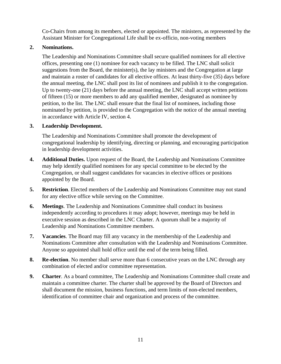Co-Chairs from among its members, elected or appointed. The ministers, as represented by the Assistant Minister for Congregational Life shall be ex-officio, non-voting members

#### **2. Nominations.**

 The Leadership and Nominations Committee shall secure qualified nominees for all elective offices, presenting one (1) nominee for each vacancy to be filled. The LNC shall solicit suggestions from the Board, the minister(s), the lay ministers and the Congregation at large and maintain a roster of candidates for all elective offices. At least thirty-five (35) days before the annual meeting, the LNC shall post its list of nominees and publish it to the congregation. Up to twenty-one (21) days before the annual meeting, the LNC shall accept written petitions of fifteen (15) or more members to add any qualified member, designated as nominee by petition, to the list. The LNC shall ensure that the final list of nominees, including those nominated by petition, is provided to the Congregation with the notice of the annual meeting in accordance with Article IV, section 4.

#### **3. Leadership Development.**

 The Leadership and Nominations Committee shall promote the development of congregational leadership by identifying, directing or planning, and encouraging participation in leadership development activities.

- **4. Additional Duties.** Upon request of the Board, the Leadership and Nominations Committee may help identify qualified nominees for any special committee to be elected by the Congregation, or shall suggest candidates for vacancies in elective offices or positions appointed by the Board.
- **5. Restriction**. Elected members of the Leadership and Nominations Committee may not stand for any elective office while serving on the Committee.
- **6. Meetings**. The Leadership and Nominations Committee shall conduct its business independently according to procedures it may adopt; however, meetings may be held in executive session as described in the LNC Charter. A quorum shall be a majority of Leadership and Nominations Committee members.
- **7. Vacancies**. The Board may fill any vacancy in the membership of the Leadership and Nominations Committee after consultation with the Leadership and Nominations Committee. Anyone so appointed shall hold office until the end of the term being filled.
- **8. Re-election**. No member shall serve more than 6 consecutive years on the LNC through any combination of elected and/or committee representation.
- **9. Charter**. As a board committee, The Leadership and Nominations Committee shall create and maintain a committee charter. The charter shall be approved by the Board of Directors and shall document the mission, business functions, and term limits of non-elected members, identification of committee chair and organization and process of the committee.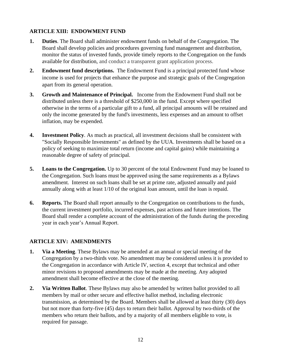## **ARTICLE XIII: ENDOWMENT FUND**

- **1. Duties**. The Board shall administer endowment funds on behalf of the Congregation. The Board shall develop policies and procedures governing fund management and distribution, monitor the status of invested funds, provide timely reports to the Congregation on the funds available for distribution, and conduct a transparent grant application process.
- **2. Endowment fund descriptions.** The Endowment Fund is a principal protected fund whose income is used for projects that enhance the purpose and strategic goals of the Congregation apart from its general operation.
- **3. Growth and Maintenance of Principal.** Income from the Endowment Fund shall not be distributed unless there is a threshold of \$250,000 in the fund. Except where specified otherwise in the terms of a particular gift to a fund, all principal amounts will be retained and only the income generated by the fund's investments, less expenses and an amount to offset inflation, may be expended.
- **4. Investment Policy**. As much as practical, all investment decisions shall be consistent with "Socially Responsible Investments" as defined by the UUA. Investments shall be based on a policy of seeking to maximize total return (income and capital gains) while maintaining a reasonable degree of safety of principal.
- **5.** Loans to the Congregation. Up to 30 percent of the total Endowment Fund may be loaned to the Congregation. Such loans must be approved using the same requirements as a Bylaws amendment. Interest on such loans shall be set at prime rate, adjusted annually and paid annually along with at least 1/10 of the original loan amount, until the loan is repaid.
- **6. Reports.** The Board shall report annually to the Congregation on contributions to the funds, the current investment portfolio, incurred expenses, past actions and future intentions. The Board shall render a complete account of the administration of the funds during the preceding year in each year's Annual Report.

# **ARTICLE XIV: AMENDMENTS**

- **1. Via a Meeting**. These Bylaws may be amended at an annual or special meeting of the Congregation by a two-thirds vote. No amendment may be considered unless it is provided to the Congregation in accordance with Article IV, section 4, except that technical and other minor revisions to proposed amendments may be made at the meeting. Any adopted amendment shall become effective at the close of the meeting.
- **2. Via Written Ballot**. These Bylaws may also be amended by written ballot provided to all members by mail or other secure and effective ballot method, including electronic transmission, as determined by the Board. Members shall be allowed at least thirty (30) days but not more than forty-five (45) days to return their ballot. Approval by two-thirds of the members who return their ballots, and by a majority of all members eligible to vote, is required for passage.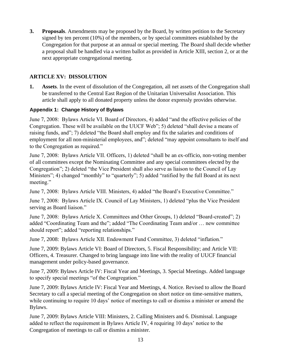**3. Proposals**. Amendments may be proposed by the Board, by written petition to the Secretary signed by ten percent (10%) of the members, or by special committees established by the Congregation for that purpose at an annual or special meeting. The Board shall decide whether a proposal shall be handled via a written ballot as provided in Article XIII, section 2, or at the next appropriate congregational meeting.

#### **ARTICLE XV: DISSOLUTION**

**1. Assets**. In the event of dissolution of the Congregation, all net assets of the Congregation shall be transferred to the Central East Region of the Unitarian Universalist Association. This article shall apply to all donated property unless the donor expressly provides otherwise.

#### **Appendix 1: Change History of Bylaws**

June 7, 2008: Bylaws Article VI. Board of Directors, 4) added "and the effective policies of the Congregation. These will be available on the UUCF Web"; 5) deleted "shall devise a means of raising funds, and"; 7) deleted "the Board shall employ and fix the salaries and conditions of employment for all non-ministerial employees, and"; deleted "may appoint consultants to itself and to the Congregation as required."

June 7, 2008: Bylaws Article VII. Officers, 1) deleted "shall be an ex-officio, non-voting member of all committees except the Nominating Committee and any special committees elected by the Congregation"; 2) deleted "the Vice President shall also serve as liaison to the Council of Lay Ministers"; 4) changed "monthly" to "quarterly"; 5) added "ratified by the full Board at its next meeting."

June 7, 2008: Bylaws Article VIII. Ministers, 4) added "the Board's Executive Committee."

June 7, 2008: Bylaws Article IX. Council of Lay Ministers, 1) deleted "plus the Vice President serving as Board liaison."

June 7, 2008: Bylaws Article X. Committees and Other Groups, 1) deleted "Board-created"; 2) added "Coordinating Team and the"; added "The Coordinating Team and/or … new committee should report"; added "reporting relationships."

June 7, 2008: Bylaws Article XII. Endowment Fund Committee, 3) deleted "inflation."

June 7, 2009: Bylaws Article VI: Board of Directors, 5. Fiscal Responsibility; and Article VII: Officers, 4. Treasurer. Changed to bring language into line with the reality of UUCF financial management under policy-based governance.

June 7, 2009: Bylaws Article IV: Fiscal Year and Meetings, 3. Special Meetings. Added language to specify special meetings "of the Congregation."

June 7, 2009: Bylaws Article IV: Fiscal Year and Meetings, 4. Notice. Revised to allow the Board Secretary to call a special meeting of the Congregation on short notice on time-sensitive matters, while continuing to require 10 days' notice of meetings to call or dismiss a minister or amend the Bylaws.

June 7, 2009: Bylaws Article VIII: Ministers, 2. Calling Ministers and 6. Dismissal. Language added to reflect the requirement in Bylaws Article IV, 4 requiring 10 days' notice to the Congregation of meetings to call or dismiss a minister.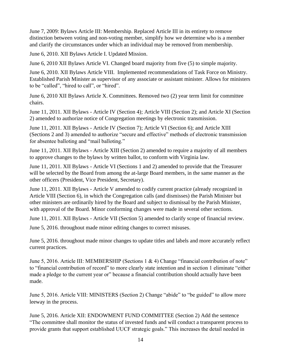June 7, 2009: Bylaws Article III: Membership. Replaced Article III in its entirety to remove distinction between voting and non-voting member, simplify how we determine who is a member and clarify the circumstances under which an individual may be removed from membership.

June 6, 2010. XII Bylaws Article I. Updated Mission.

June 6, 2010 XII Bylaws Article VI. Changed board majority from five (5) to simple majority.

June 6, 2010. XII Bylaws Article VIII. Implemented recommendations of Task Force on Ministry. Established Parish Minister as supervisor of any associate or assistant minister. Allows for ministers to be "called", "hired to call", or "hired".

June 6, 2010 XII Bylaws Article X. Committees. Removed two (2) year term limit for committee chairs.

June 11, 2011. XII Bylaws - Article IV (Section 4); Article VIII (Section 2); and Article XI (Section 2) amended to authorize notice of Congregation meetings by electronic transmission.

June 11, 2011. XII Bylaws - Article IV (Section 7); Article VI (Section 6); and Article XIII (Sections 2 and 3) amended to authorize "secure and effective" methods of electronic transmission for absentee balloting and "mail balloting."

June 11, 2011. XII Bylaws - Article XIII (Section 2) amended to require a majority of all members to approve changes to the bylaws by written ballot, to conform with Virginia law.

June 11, 2011. XII Bylaws - Article VI (Sections 1 and 2) amended to provide that the Treasurer will be selected by the Board from among the at-large Board members, in the same manner as the other officers (President, Vice President, Secretary).

June 11, 2011. XII Bylaws - Article V amended to codify current practice (already recognized in Article VIII (Section 6), in which the Congregation calls (and dismisses) the Parish Minister but other ministers are ordinarily hired by the Board and subject to dismissal by the Parish Minister, with approval of the Board. Minor conforming changes were made in several other sections.

June 11, 2011. XII Bylaws - Article VII (Section 5) amended to clarify scope of financial review.

June 5, 2016. throughout made minor editing changes to correct misuses.

June 5, 2016. throughout made minor changes to update titles and labels and more accurately reflect current practices.

June 5, 2016. Article III: MEMBERSHIP (Sections 1 & 4) Change "financial contribution of note" to "financial contribution of record" to more clearly state intention and in section 1 eliminate "either made a pledge to the current year or" because a financial contribution should actually have been made.

June 5, 2016. Article VIII: MINISTERS (Section 2) Change "abide" to "be guided" to allow more leeway in the process.

June 5, 2016. Article XII: ENDOWMENT FUND COMMITTEE (Section 2) Add the sentence "The committee shall monitor the status of invested funds and will conduct a transparent process to provide grants that support established UUCF strategic goals." This increases the detail needed in